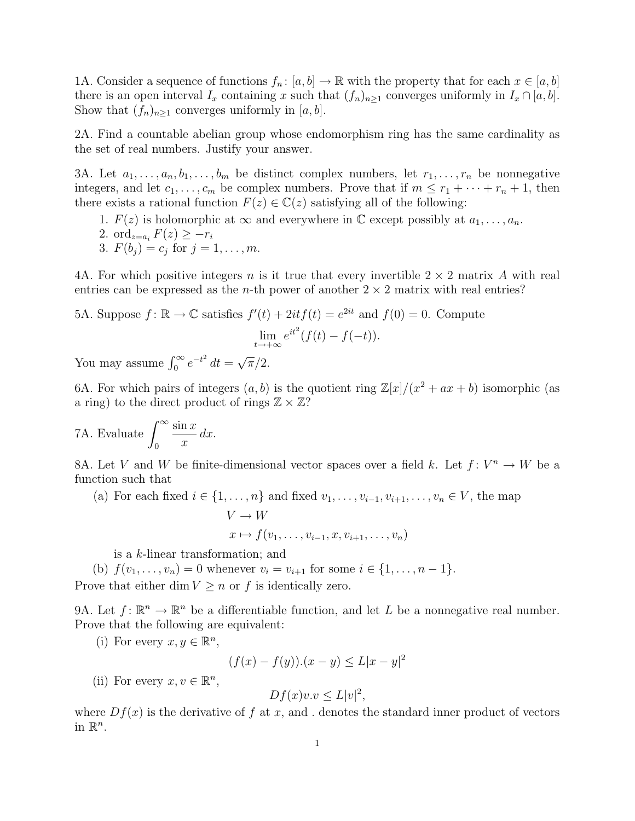1A. Consider a sequence of functions  $f_n: [a, b] \to \mathbb{R}$  with the property that for each  $x \in [a, b]$ there is an open interval  $I_x$  containing x such that  $(f_n)_{n\geq 1}$  converges uniformly in  $I_x \cap [a, b]$ . Show that  $(f_n)_{n>1}$  converges uniformly in [a, b].

2A. Find a countable abelian group whose endomorphism ring has the same cardinality as the set of real numbers. Justify your answer.

3A. Let  $a_1, \ldots, a_n, b_1, \ldots, b_m$  be distinct complex numbers, let  $r_1, \ldots, r_n$  be nonnegative integers, and let  $c_1, \ldots, c_m$  be complex numbers. Prove that if  $m \leq r_1 + \cdots + r_n + 1$ , then there exists a rational function  $F(z) \in \mathbb{C}(z)$  satisfying all of the following:

- 1.  $F(z)$  is holomorphic at  $\infty$  and everywhere in  $\mathbb C$  except possibly at  $a_1, \ldots, a_n$ .
- 2. ord<sub> $z=a_i$ </sub>  $F(z) \geq -r_i$
- 3.  $F(b_j) = c_j$  for  $j = 1, ..., m$ .

4A. For which positive integers n is it true that every invertible  $2 \times 2$  matrix A with real entries can be expressed as the *n*-th power of another  $2 \times 2$  matrix with real entries?

5A. Suppose 
$$
f : \mathbb{R} \to \mathbb{C}
$$
 satisfies  $f'(t) + 2it f(t) = e^{2it}$  and  $f(0) = 0$ . Compute  
\n
$$
\lim_{t \to +\infty} e^{it^2} (f(t) - f(-t)).
$$

You may assume  $\int_0^\infty e^{-t^2} dt =$ √  $\overline{\pi}/2.$ 

6A. For which pairs of integers  $(a, b)$  is the quotient ring  $\mathbb{Z}[x]/(x^2 + ax + b)$  isomorphic (as a ring) to the direct product of rings  $\mathbb{Z} \times \mathbb{Z}$ ?

7A. Evaluate  $\int_{0}^{\infty}$  $\boldsymbol{0}$  $\sin x$  $\overline{x}$  $dx$ .

8A. Let V and W be finite-dimensional vector spaces over a field k. Let  $f: V^n \to W$  be a function such that

(a) For each fixed  $i \in \{1, \ldots, n\}$  and fixed  $v_1, \ldots, v_{i-1}, v_{i+1}, \ldots, v_n \in V$ , the map

$$
V \to W
$$
  

$$
x \mapsto f(v_1, \dots, v_{i-1}, x, v_{i+1}, \dots, v_n)
$$

is a k-linear transformation; and

(b)  $f(v_1, \ldots, v_n) = 0$  whenever  $v_i = v_{i+1}$  for some  $i \in \{1, \ldots, n-1\}$ . Prove that either dim  $V \geq n$  or f is identically zero.

9A. Let  $f: \mathbb{R}^n \to \mathbb{R}^n$  be a differentiable function, and let L be a nonnegative real number. Prove that the following are equivalent:

(i) For every  $x, y \in \mathbb{R}^n$ ,

$$
(f(x) - f(y))(x - y) \le L|x - y|^2
$$

(ii) For every  $x, v \in \mathbb{R}^n$ ,

$$
Df(x)v.v \le L|v|^2,
$$

where  $Df(x)$  is the derivative of f at x, and . denotes the standard inner product of vectors in  $\mathbb{R}^n$ .